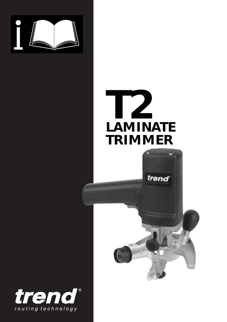

# **T2 LAMINATE TRIMMER**

trend

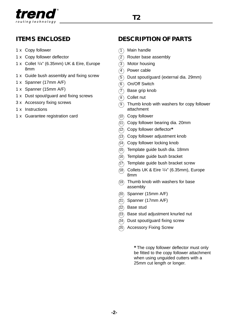

## **ITEMS ENCLOSED**

- 1 x Copy follower
- 1 x Copy follower deflector
- 1 x Collet 1/4" (6.35mm) UK & Eire, Europe 8mm
- 1 x Guide bush assembly and fixing screw
- 1 x Spanner (17mm A/F)
- 1 x Spanner (15mm A/F)
- 1 x Dust spout/guard and fixing screws
- 3 x Accessory fixing screws
- 1 x Instructions
- 1 x Guarantee registration card

# **DESCRIPTION OF PARTS**

- 1 Main handle
- <sup>(2)</sup> Router base assembly
- 3 Motor housing
- **a** Power cable
- 5 Dust spout/guard (external dia. 29mm)
- **6** On/Off Switch
- 7 Base grip knob
- 8 Collet nut
- 9 Thumb knob with washers for copy follower attachment
- 10 Copy follower
- 11 Copy follower bearing dia. 20mm
- 12 Copy follower deflector**\***
- 13 Copy follower adjustment knob
- 14 Copy follower locking knob
- 15 Template guide bush dia. 18mm
- 16 Template guide bush bracket
- 17 Template guide bush bracket screw
- $(18)$  Collets UK & Eire  $1/4$ " (6.35mm), Europe 8mm
- 19 Thumb knob with washers for base assembly
- 20 Spanner (15mm A/F)
- $(21)$ Spanner (17mm A/F)
- Base stud
- ② Base stud adjustment knurled nut
- Dust spout/guard fixing screw
- 25 Accessory Fixing Screw

**\*** The copy follower deflector must only be fitted to the copy follower attachment when using unguided cutters with a 25mm cut length or longer.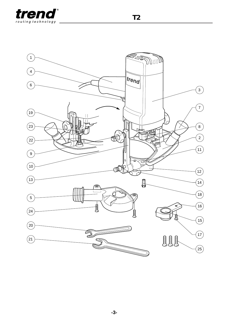



**T2**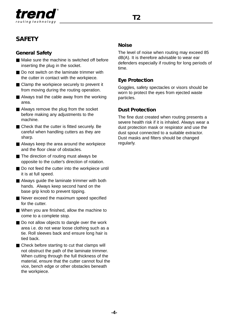

# **SAFETY**

#### **General Safety**

- Make sure the machine is switched off before inserting the plug in the socket.
- Do not switch on the laminate trimmer with the cutter in contact with the workpiece.
- Clamp the workpiece securely to prevent it from moving during the routing operation.
- Always trail the cable away from the working area.
- Always remove the plug from the socket before making any adjustments to the machine.
- Check that the cutter is fitted securely. Be careful when handling cutters as they are sharp.
- Always keep the area around the workpiece and the floor clear of obstacles.
- The direction of routing must always be opposite to the cutter's direction of rotation.
- Do not feed the cutter into the workpiece until it is at full speed.
- Always quide the laminate trimmer with both hands. Always keep second hand on the base grip knob to prevent tipping.
- Never exceed the maximum speed specified for the cutter.
- When you are finished, allow the machine to come to a complete stop.
- Do not allow objects to dangle over the work area i.e. do not wear loose clothing such as a tie. Roll sleeves back and ensure long hair is tied back.
- Check before starting to cut that clamps will not obstruct the path of the laminate trimmer. When cutting through the full thickness of the material, ensure that the cutter cannot foul the vice, bench edge or other obstacles beneath the workpiece.

#### **Noise**

The level of noise when routing may exceed 85 dB(A). It is therefore advisable to wear ear defenders especially if routing for long periods of time.

#### **Eye Protection**

Goggles, safety spectacles or visors should be worn to protect the eyes from ejected waste particles.

#### **Dust Protection**

The fine dust created when routing presents a severe health risk if it is inhaled. Always wear a dust protection mask or respirator and use the dust spout connected to a suitable extractor. Dust masks and filters should be changed regularly.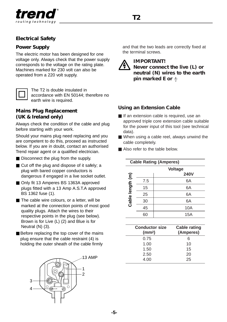

#### **Electrical Safety**

#### **Power Supply**

The electric motor has been designed for one voltage only. Always check that the power supply corresponds to the voltage on the rating plate. Machines marked for 230 volt can also be operated from a 220 volt supply.



The T2 is double insulated in accordance with EN 50144; therefore no earth wire is required.

#### **Mains Plug Replacement (UK & Ireland only)**

Always check the condition of the cable and plug before starting with your work.

Should your mains plug need replacing and you are competent to do this, proceed as instructed below. If you are in doubt, contact an authorised Trend repair agent or a qualified electrician.

- Disconnect the plug from the supply.
- Cut off the plug and dispose of it safely; a plug with bared copper conductors is dangerous if engaged in a live socket outlet.
- Only fit 13 Amperes BS 1363A approved plugs fitted with a 13 Amp A.S.T.A approved BS 1362 fuse (1).
- The cable wire colours, or a letter, will be marked at the connection points of most good quality plugs. Attach the wires to their respective points in the plug (see below). Brown is for Live (L) (2) and Blue is for Neutral (N) (3).
- Before replacing the top cover of the mains plug ensure that the cable restraint (4) is holding the outer sheath of the cable firmly



and that the two leads are correctly fixed at the terminal screws.



#### **IMPORTANT!**

**Never connect the live (L) or neutral (N) wires to the earth pin marked E or**

#### **Using an Extension Cable**

- If an extension cable is required, use an approved triple core extension cable suitable for the power input of this tool (see technical data).
- When using a cable reel, always unwind the cable completely.
- Also refer to the table below.

**Cable Rating (Amperes)**

| Cable Rating (Amperes) |     |             |  |
|------------------------|-----|-------------|--|
|                        |     | Voltage     |  |
|                        |     | <b>240V</b> |  |
| Cable length (m)       | 7.5 | 6A          |  |
|                        | 15  | 6A          |  |
|                        | 25  | 6A          |  |
|                        | 30  | 6A          |  |
|                        | 45  | <b>10A</b>  |  |
|                        | 60  | 15A         |  |

| <b>Conductor size</b><br>(mm <sup>2</sup> ) | <b>Cable rating</b><br>(Amperes) |
|---------------------------------------------|----------------------------------|
| 0.75                                        | 6                                |
| 1.00                                        | 10                               |
| 1.50                                        | 15                               |
| 2.50                                        | 20                               |
| 4.00                                        | 25                               |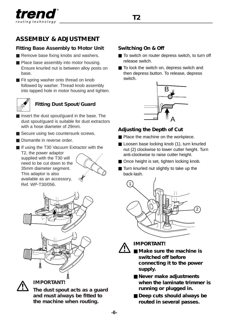

# **ASSEMBLY & ADJUSTMENT**

#### **Fitting Base Assembly to Motor Unit**

- Remove base fixing knobs and washers.
- Place base assembly into motor housing. Ensure knurled nut is between alloy posts on base.
- Fit spring washer onto thread on knob followed by washer. Thread knob assembly into tapped hole in motor housing and tighten.



# **Fitting Dust Spout/Guard**

- Insert the dust spout/quard in the base. The dust spout/guard is suitable for dust extractors with a hose diameter of 29mm.
- Secure using two countersunk screws.
- Dismantle in reverse order.
- If using the T30 Vacuum Extractor with the T2, the power adaptor supplied with the T30 will need to be cut down to the 35mm diameter segment. This adaptor is also available as an accessory,





**IMPORTANT!**

**The dust spout acts as a guard and must always be fitted to the machine when routing.**

#### **Switching On & Off**

- To switch on router depress switch, to turn off release switch.
- To lock the switch on, depress switch and then depress button. To release, depress switch.



#### **Adjusting the Depth of Cut**

- Place the machine on the workpiece.
- Loosen base locking knob (1), turn knurled nut (2) clockwise to lower cutter height. Turn anti-clockwise to raise cutter height.
- Once height is set, tighten locking knob.
- Turn knurled nut slightly to take up the back-lash.





**IMPORTANT!**

- **Make sure the machine is switched off before connecting it to the power supply.**
- **Never make adiustments when the laminate trimmer is running or plugged in.**
- **Deep cuts should always be routed in several passes.**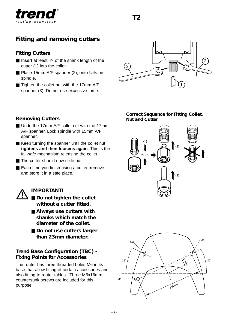

# **Fitting and removing cutters**

#### **Fitting Cutters**

- Insert at least 3/4 of the shank length of the cutter (1) into the collet.
- Place 15mm A/F spanner (2), onto flats on spindle.
- Tighten the collet nut with the 17mm A/F spanner (3). Do not use excessive force.



#### **Removing Cutters**

- Undo the 17mm A/F collet nut with the 17mm A/F spanner. Lock spindle with 15mm A/F spanner.
- Keep turning the spanner until the collet nut **tightens and then loosens again**. This is the fail-safe mechanism releasing the collet.
- The cutter should now slide out.
- Each time you finish using a cutter, remove it and store it in a safe place.

#### **IMPORTANT!**

- **Do not tighten the collet without a cutter fitted.**
- **Always use cutters with shanks which match the diameter of the collet.**
- **Do not use cutters larger than 23mm diameter.**

#### **Trend Base Configuration (TBC) - Fixing Points for Accessories**

The router has three threaded holes M6 in its base that allow fitting of certain accessories and also fitting to router tables. Three M6x16mm countersunk screws are included for this purpose.

#### **Correct Sequence for Fitting Collet, Nut and Cutter**





**-7-**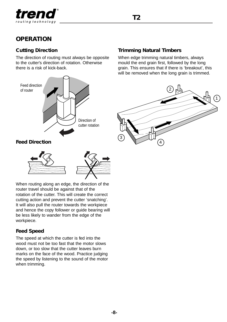

# **OPERATION**

#### **Cutting Direction**

The direction of routing must always be opposite to the cutter's direction of rotation. Otherwise there is a risk of kick-back.





When routing along an edge, the direction of the router travel should be against that of the rotation of the cutter. This will create the correct cutting action and prevent the cutter 'snatching'. It will also pull the router towards the workpiece and hence the copy follower or guide bearing will be less likely to wander from the edge of the workpiece.

#### **Feed Speed**

The speed at which the cutter is fed into the wood must not be too fast that the motor slows down, or too slow that the cutter leaves burn marks on the face of the wood. Practice judging the speed by listening to the sound of the motor when trimming.

#### **Trimming Natural Timbers**

When edge trimming natural timbers, always mould the end grain first, followed by the long grain. This ensures that if there is 'breakout', this will be removed when the long grain is trimmed.

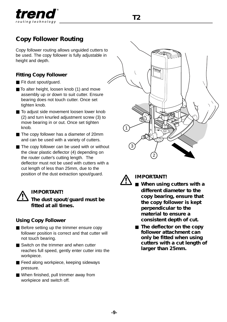

# **Copy Follower Routing**

Copy follower routing allows unguided cutters to be used. The copy follower is fully adjustable in height and depth.

#### **Fitting Copy Follower**

- Fit dust spout/quard.
- To alter height, loosen knob (1) and move assembly up or down to suit cutter. Ensure bearing does not touch cutter. Once set tighten knob.
- To adjust side movement loosen lower knob (2) and turn knurled adjustment screw (3) to move bearing in or out. Once set tighten knob.
- The copy follower has a diameter of 20mm and can be used with a variety of cutters.
- The copy follower can be used with or without the clear plastic deflector (4) depending on the router cutter's cutting length. The deflector must not be used with cutters with a cut length of less than 25mm, due to the position of the dust extraction spout/guard.

### **IMPORTANT! The dust spout/guard must be fitted at all times.**

#### **Using Copy Follower**

- Before setting up the trimmer ensure copy follower position is correct and that cutter will not touch bearing.
- Switch on the trimmer and when cutter reaches full speed, gently enter cutter into the workpiece.
- Feed along workpiece, keeping sideways pressure.
- When finished, pull trimmer away from workpiece and switch off.





#### **IMPORTANT!**

- **When using cutters with a different diameter to the copy bearing, ensure that the copy follower is kept perpendicular to the material to ensure a consistent depth of cut.**
	- **The deflector on the copy follower attachment can only be fitted when using cutters with a cut length of larger than 25mm.**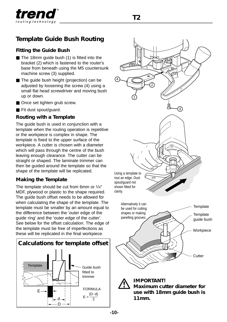

# **Template Guide Bush Routing**

#### **Fitting the Guide Bush**

- The 18mm quide bush (1) is fitted into the bracket (2) which is fastened to the router's base from beneath using the M5 countersunk machine screw (3) supplied.
- The quide bush height (projection) can be adjusted by loosening the screw (4) using a small flat head screwdriver and moving bush up or down.
- Once set tighten grub screw.
- Fit dust spout/quard.

#### **Routing with a Template**

The guide bush is used in conjunction with a template when the routing operation is repetitive or the workpiece is complex in shape. The template is fixed to the upper surface of the workpiece. A cutter is chosen with a diameter which will pass through the centre of the bush leaving enough clearance. The cutter can be straight or shaped. The laminate trimmer can then be guided around the template so that the shape of the template will be replicated.

#### **Making the Template**

The template should be cut from 6mm or 1/4" MDF, plywood or plastic to the shape required. The guide bush offset needs to be allowed for when calculating the shape of the template. The template must be smaller by an amount equal to the difference between the 'outer edge of the guide ring' and the 'outer edge of the cutter'. See below for the offset calculation. The edge of the template must be free of imperfections as these will be replicated in the final workpiece.





**use with 18mm guide bush is 11mm.**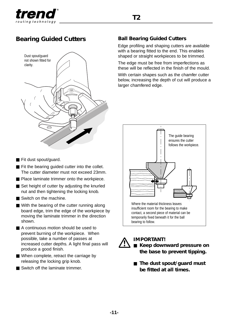

# **Bearing Guided Cutters Ball Bearing Guided Cutters**



#### ■ Fit dust spout/quard.

- Fit the bearing guided cutter into the collet. The cutter diameter must not exceed 23mm.
- Place laminate trimmer onto the workpiece.
- Set height of cutter by adjusting the knurled nut and then tightening the locking knob.
- Switch on the machine.
- With the bearing of the cutter running along board edge, trim the edge of the workpiece by moving the laminate trimmer in the direction shown.
- A continuous motion should be used to prevent burning of the workpiece. When possible, take a number of passes at increased cutter depths. A light final pass will produce a good finish.
- When complete, retract the carriage by releasing the locking grip knob.
- Switch off the laminate trimmer.

Edge profiling and shaping cutters are available with a bearing fitted to the end. This enables shaped or straight workpieces to be trimmed.

The edge must be free from imperfections as these will be reflected in the finish of the mould.

With certain shapes such as the chamfer cutter below, increasing the depth of cut will produce a larger chamfered edge.



**IMPORTANT!**  ■ Keep downward pressure on **the base to prevent tipping.**

■ **The dust spout/guard must be fitted at all times.**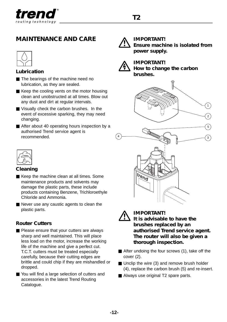

# **MAINTENANCE AND CARE**



#### **Lubrication**

- The bearings of the machine need no lubrication, as they are sealed.
- Keep the cooling vents on the motor housing clean and unobstructed at all times. Blow out any dust and dirt at regular intervals.
- Visually check the carbon brushes. In the event of excessive sparking, they may need changing.
- After about 40 operating hours inspection by a authorised Trend service agent is recommended.



#### **Cleaning**

- Keep the machine clean at all times. Some maintenance products and solvents may damage the plastic parts, these include products containing Benzene, Trichloroethyle Chloride and Ammonia.
- Never use any caustic agents to clean the plastic parts.

#### **Router Cutters**

- Please ensure that your cutters are always sharp and well maintained. This will place less load on the motor, increase the working life of the machine and give a perfect cut. T.C.T. cutters must be treated especially carefully, because their cutting edges are brittle and could chip if they are mishandled or dropped.
- You will find a large selection of cutters and accessories in the latest Trend Routing Catalogue.



#### **IMPORTANT! Ensure machine is isolated from power supply.**



#### **IMPORTANT! How to change the carbon brushes.**





#### **IMPORTANT! It is advisable to have the brushes replaced by an authorised Trend service agent. The router will also be given a thorough inspection.**

- After undoing the four screws (1), take off the cover (2).
- Unclip the wire (3) and remove brush holder (4), replace the carbon brush (5) and re-insert.
- Always use original T2 spare parts.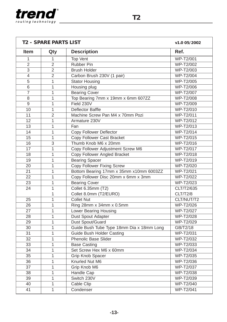

| <b>T2 - SPARE PARTS LIST</b> |                           |                                           | v1.0 05/2002                         |
|------------------------------|---------------------------|-------------------------------------------|--------------------------------------|
| <b>Item</b>                  | Qty                       | <b>Description</b>                        | Ref.                                 |
| 1                            | 1                         | Top Vent                                  | WP-T2/001                            |
| $\overline{2}$               | $\overline{2}$            | <b>Rubber Pin</b>                         | WP-T2/002                            |
| 3                            | $\overline{2}$            | <b>Brush Holder</b>                       | WP-T2/003                            |
| $\overline{4}$               | $\overline{2}$            | Carbon Brush 230V (1 pair)                | WP-T2/004                            |
| $\overline{5}$               | 1                         | <b>Stator Housing</b>                     | WP-T2/005                            |
| 6                            | 1                         | Housing plug                              | WP-T2/006                            |
| $\overline{7}$               | $\mathbf{1}$              | <b>Bearing Cover</b>                      | WP-T2/007                            |
| 8                            | 1                         | Top Bearing 7mm x 19mm x 6mm 607ZZ        | WP-T2/008                            |
| 9                            | 1                         | Field 230V                                | WP-T2/009                            |
| 10                           | $\overline{1}$            | Deflector Baffle                          | WP-T2/010                            |
| 11                           | $\mathfrak{p}$            | Machine Screw Pan M4 x 70mm Pozi          | WP-T2/011                            |
| 12                           | 1                         | Armature 230V                             | WP-T2/012                            |
| 13                           | $\overline{1}$            | Fan                                       | WP-T2/013                            |
| 14                           | $\mathbf{1}$              | Copy Follower Deflector                   | WP-T2/014                            |
| 15                           | 1                         | Copy Follower Cast Bracket                | WP-T2/015                            |
| 16                           | $\overline{\overline{3}}$ | Thumb Knob M6 x 20mm                      | WP-T2/016                            |
| 17                           | $\mathbf{1}$              | Copy Follower Adjustment Screw M6         | WP-T2/017                            |
| 18                           | 1                         | Copy Follower Angled Bracket              | WP-T2/018                            |
| 19                           | $\overline{1}$            | <b>Bearing Spacer</b>                     | WP-T2/019                            |
| 20                           | $\mathbf{1}$              | <b>Copy Follower Fixing Screw</b>         | WP-T2/020                            |
| 21                           | 1                         | Bottom Bearing 17mm x 35mm x10mm 6003ZZ   | WP-T2/021                            |
| 22                           | $\overline{1}$            | Copy Follower Disc 20mm x 6mm x 3mm       | WP-T2/022                            |
| $\overline{23}$              | $\mathbf{1}$              | <b>Bearing Cover</b>                      | $\overline{\text{WP-T2}/\text{02}}3$ |
| 24                           | $\mathbf{1}$              | Collet 6.35mm (T2)                        | CLT/T2/635                           |
|                              | 1                         | Collet 8.0mm (T2/EURO)                    | CLT/T2/8                             |
| 25                           | 1                         | <b>Collet Nut</b>                         | CLT/NUT/T2                           |
| 26                           | 1                         | Ring 28mm x 34mm x 0.5mm                  | WP-T2/026                            |
| $\overline{27}$              | $\overline{1}$            | <b>Lower Bearing Housing</b>              | WP-T2/027                            |
| 28                           | 1                         | Dust Spout Adapter                        | WP-T2/028                            |
| 29                           | $\mathbf{1}$              | Dust Spout/Guard                          | WP-T2/029                            |
| 30                           | 1                         | Guide Bush Tube Type 18mm Dia x 18mm Long | GB/T2/18                             |
| $\overline{31}$              | 1                         | <b>Guide Bush Holder Casting</b>          | WP-T2/031                            |
| 32                           | 1                         | Phenolic Base Slider                      | WP-T2/032                            |
| 33                           | 1                         | <b>Base Casting</b>                       | WP-T2/033                            |
| 34                           | $\overline{1}$            | Set Screw Hex M6 x 60mm                   | WP-T2/034                            |
| $\overline{35}$              | 1                         | <b>Grip Knob Spacer</b>                   | WP-T2/035                            |
| 36                           | $\mathbf{1}$              | Knurled Nut M6                            | WP-T2/036                            |
| 37                           | 1                         | Grip Knob M6                              | WP-T2/037                            |
| 38                           | $\overline{1}$            | Handle Cap                                | WP-T2/038                            |
| 39                           | $\mathbf{1}$              | Switch 230V                               | WP-T2/039                            |
| 40                           | 1                         | Cable Clip                                | WP-T2/040                            |
| $\overline{41}$              | $\mathbf{1}$              | Condenser                                 | WP-T2/041                            |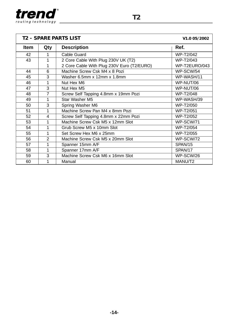

| <b>T2 - SPARE PARTS LIST</b><br>V <sub>1.0</sub> 05/2002 |                |                                            |               |
|----------------------------------------------------------|----------------|--------------------------------------------|---------------|
| <b>Item</b>                                              | Qty            | <b>Description</b>                         | Ref.          |
| 42                                                       | 1              | Cable Guard                                | WP-T2/042     |
| 43                                                       | 1              | 2 Core Cable With Plug 230V UK (T2)        | WP-T2/043     |
|                                                          | 1              | 2 Core Cable With Plug 230V Euro (T2/EURO) | WP-T2EURO/043 |
| 44                                                       | 6              | Machine Screw Csk M4 x 8 Pozi              | WP-SCW/54     |
| 45                                                       | 3              | Washer 6.5mm x 12mm x 1.8mm                | WP-WASH/11    |
| 46                                                       | 1              | Nut Hex M6                                 | WP-NUT/06     |
| 47                                                       | 3              | Nut Hex M5                                 | WP-NUT/06     |
| 48                                                       | 7              | Screw Self Tapping 4.8mm x 19mm Pozi       | WP-T2/048     |
| 49                                                       | 1              | Star Washer M5                             | WP-WASH/39    |
| 50                                                       | 3              | Spring Washer M6                           | WP-T2/050     |
| 51                                                       | 1              | Machine Screw Pan M4 x 8mm Pozi            | WP-T2/051     |
| 52                                                       | 4              | Screw Self Tapping 4.8mm x 22mm Pozi       | WP-T2/052     |
| 53                                                       | 1              | Machine Screw Csk M5 x 12mm Slot           | WP-SCW/71     |
| 54                                                       | 1              | Grub Screw M5 x 10mm Slot                  | WP-T2/054     |
| 55                                                       | 1              | Set Screw Hex M6 x 25mm                    | WP-T2/055     |
| 56                                                       | $\overline{2}$ | Machine Screw Csk M5 x 20mm Slot           | WP-SCW/72     |
| 57                                                       | 1              | Spanner 15mm A/F                           | SPAN/15       |
| 58                                                       | 1              | Spanner 17mm A/F                           | SPAN/17       |
| 59                                                       | 3              | Machine Screw Csk M6 x 16mm Slot           | WP-SCW/26     |
| 60                                                       | 1              | Manual                                     | MANU/T2       |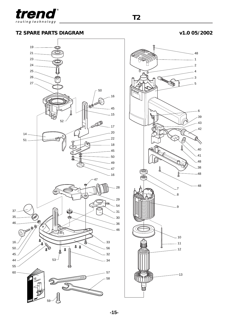

**T2 SPARE PARTS DIAGRAM v1.0 05/2002**



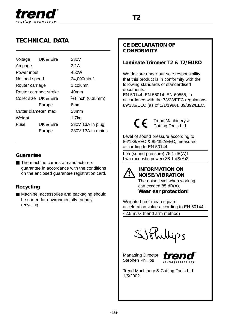

# **TECHNICAL DATA**

| Voltage                | UK & Eire | 230V                |
|------------------------|-----------|---------------------|
| Ampage                 |           | 2.1A                |
| Power input            |           | 450W                |
| No load speed          |           | 24,000min-1         |
| Router carriage        |           | 1 column            |
| Router carriage stroke |           | 40 <sub>mm</sub>    |
| Collet size UK & Fire  |           | $1/4$ inch (6.35mm) |
|                        | Europe    | 8mm                 |
| Cutter diameter, max   |           | 23mm                |
| Weight                 |           | 1.7 <sub>kq</sub>   |
| Fuse                   | UK & Eire | 230V 13A in plug    |
|                        | Europe    | 230V 13A in mains   |
|                        |           |                     |

#### **Guarantee**

■ The machine carries a manufacturers guarantee in accordance with the conditions on the enclosed guarantee registration card.

#### **Recycling**

■ Machine, accessories and packaging should be sorted for environmentally friendly recycling.

#### **CE DECLARATION OF CONFORMITY**

#### **Laminate Trimmer T2 & T2/EURO**

We declare under our sole responsibility that this product is in conformity with the following standards of standardised documents:

EN 50144, EN 55014, EN 60555, in accordance with the 73/23/EEC regulations. 89/336/EEC (as of 1/1/1996). 89/392/EEC.

> Trend Machinery & Cutting Tools Ltd.

Level of sound pressure according to 86/188/EEC & 89/392/EEC, measured according to EN 50144:

Lpa (sound pressure) 75.1 dB(A)1 Lwa (acoustic power) 88.1 dB(A)2



#### **INFORMATION ON NOISE/VIBRATION**

The noise level when working can exceed 85 dB(A). **Wear ear protection!**

Weighted root mean square acceleration value according to EN 50144:

<2.5 m/s2 (hand arm method)

SIPhillips

Managing Director Stephen Phillips



Trend Machinery & Cutting Tools Ltd. 1/5/2002